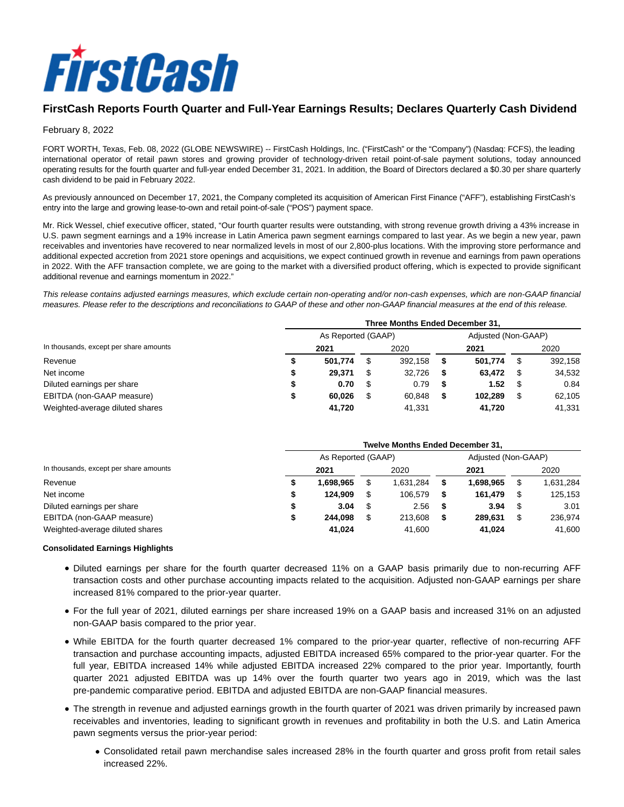

# **FirstCash Reports Fourth Quarter and Full-Year Earnings Results; Declares Quarterly Cash Dividend**

# February 8, 2022

FORT WORTH, Texas, Feb. 08, 2022 (GLOBE NEWSWIRE) -- FirstCash Holdings, Inc. ("FirstCash" or the "Company") (Nasdaq: FCFS), the leading international operator of retail pawn stores and growing provider of technology-driven retail point-of-sale payment solutions, today announced operating results for the fourth quarter and full-year ended December 31, 2021. In addition, the Board of Directors declared a \$0.30 per share quarterly cash dividend to be paid in February 2022.

As previously announced on December 17, 2021, the Company completed its acquisition of American First Finance ("AFF"), establishing FirstCash's entry into the large and growing lease-to-own and retail point-of-sale ("POS") payment space.

Mr. Rick Wessel, chief executive officer, stated, "Our fourth quarter results were outstanding, with strong revenue growth driving a 43% increase in U.S. pawn segment earnings and a 19% increase in Latin America pawn segment earnings compared to last year. As we begin a new year, pawn receivables and inventories have recovered to near normalized levels in most of our 2,800-plus locations. With the improving store performance and additional expected accretion from 2021 store openings and acquisitions, we expect continued growth in revenue and earnings from pawn operations in 2022. With the AFF transaction complete, we are going to the market with a diversified product offering, which is expected to provide significant additional revenue and earnings momentum in 2022."

This release contains adjusted earnings measures, which exclude certain non-operating and/or non-cash expenses, which are non-GAAP financial measures. Please refer to the descriptions and reconciliations to GAAP of these and other non-GAAP financial measures at the end of this release.

|                                        | Three Months Ended December 31. |   |         |   |                     |      |         |  |
|----------------------------------------|---------------------------------|---|---------|---|---------------------|------|---------|--|
| In thousands, except per share amounts | As Reported (GAAP)              |   |         |   | Adjusted (Non-GAAP) |      |         |  |
|                                        | 2021                            |   | 2020    |   | 2021                |      | 2020    |  |
| Revenue                                | 501.774                         |   | 392.158 | S | 501.774             | - \$ | 392,158 |  |
| Net income                             | 29.371                          | S | 32.726  | 5 | 63.472              | S    | 34,532  |  |
| Diluted earnings per share             | 0.70                            |   | 0.79    |   | 1.52                | - \$ | 0.84    |  |
| EBITDA (non-GAAP measure)              | 60.026                          |   | 60.848  | S | 102.289             | \$   | 62,105  |  |
| Weighted-average diluted shares        | 41.720                          |   | 41.331  |   | 41.720              |      | 41.331  |  |

|                                        | <b>Twelve Months Ended December 31.</b> |                    |   |           |  |                     |     |           |
|----------------------------------------|-----------------------------------------|--------------------|---|-----------|--|---------------------|-----|-----------|
| In thousands, except per share amounts |                                         | As Reported (GAAP) |   |           |  | Adjusted (Non-GAAP) |     |           |
|                                        |                                         | 2021               |   | 2020      |  | 2021                |     | 2020      |
| Revenue                                |                                         | 1.698.965          |   | 1.631.284 |  | 1.698.965           |     | 1,631,284 |
| Net income                             |                                         | 124.909            |   | 106.579   |  | 161.479             |     | 125,153   |
| Diluted earnings per share             |                                         | 3.04               | S | 2.56      |  | 3.94                | - 5 | 3.01      |
| EBITDA (non-GAAP measure)              |                                         | 244.098            |   | 213.608   |  | 289.631             | \$  | 236,974   |
| Weighted-average diluted shares        |                                         | 41.024             |   | 41.600    |  | 41.024              |     | 41.600    |

# **Consolidated Earnings Highlights**

- Diluted earnings per share for the fourth quarter decreased 11% on a GAAP basis primarily due to non-recurring AFF transaction costs and other purchase accounting impacts related to the acquisition. Adjusted non-GAAP earnings per share increased 81% compared to the prior-year quarter.
- For the full year of 2021, diluted earnings per share increased 19% on a GAAP basis and increased 31% on an adjusted non-GAAP basis compared to the prior year.
- While EBITDA for the fourth quarter decreased 1% compared to the prior-year quarter, reflective of non-recurring AFF transaction and purchase accounting impacts, adjusted EBITDA increased 65% compared to the prior-year quarter. For the full year, EBITDA increased 14% while adjusted EBITDA increased 22% compared to the prior year. Importantly, fourth quarter 2021 adjusted EBITDA was up 14% over the fourth quarter two years ago in 2019, which was the last pre-pandemic comparative period. EBITDA and adjusted EBITDA are non-GAAP financial measures.
- The strength in revenue and adjusted earnings growth in the fourth quarter of 2021 was driven primarily by increased pawn receivables and inventories, leading to significant growth in revenues and profitability in both the U.S. and Latin America pawn segments versus the prior-year period:
	- Consolidated retail pawn merchandise sales increased 28% in the fourth quarter and gross profit from retail sales increased 22%.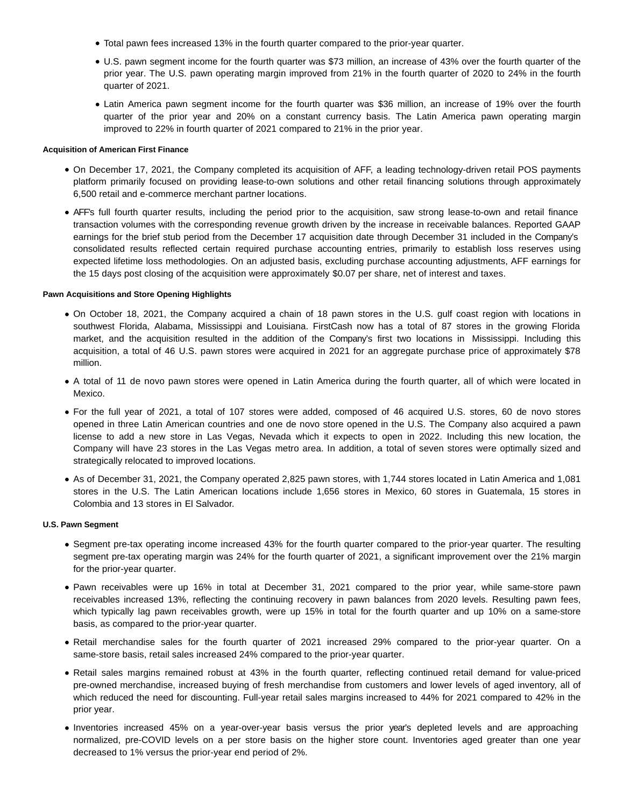- Total pawn fees increased 13% in the fourth quarter compared to the prior-year quarter.
- U.S. pawn segment income for the fourth quarter was \$73 million, an increase of 43% over the fourth quarter of the prior year. The U.S. pawn operating margin improved from 21% in the fourth quarter of 2020 to 24% in the fourth quarter of 2021.
- Latin America pawn segment income for the fourth quarter was \$36 million, an increase of 19% over the fourth quarter of the prior year and 20% on a constant currency basis. The Latin America pawn operating margin improved to 22% in fourth quarter of 2021 compared to 21% in the prior year.

#### **Acquisition of American First Finance**

- On December 17, 2021, the Company completed its acquisition of AFF, a leading technology-driven retail POS payments platform primarily focused on providing lease-to-own solutions and other retail financing solutions through approximately 6,500 retail and e-commerce merchant partner locations.
- AFF's full fourth quarter results, including the period prior to the acquisition, saw strong lease-to-own and retail finance transaction volumes with the corresponding revenue growth driven by the increase in receivable balances. Reported GAAP earnings for the brief stub period from the December 17 acquisition date through December 31 included in the Company's consolidated results reflected certain required purchase accounting entries, primarily to establish loss reserves using expected lifetime loss methodologies. On an adjusted basis, excluding purchase accounting adjustments, AFF earnings for the 15 days post closing of the acquisition were approximately \$0.07 per share, net of interest and taxes.

# **Pawn Acquisitions and Store Opening Highlights**

- On October 18, 2021, the Company acquired a chain of 18 pawn stores in the U.S. gulf coast region with locations in southwest Florida, Alabama, Mississippi and Louisiana. FirstCash now has a total of 87 stores in the growing Florida market, and the acquisition resulted in the addition of the Company's first two locations in Mississippi. Including this acquisition, a total of 46 U.S. pawn stores were acquired in 2021 for an aggregate purchase price of approximately \$78 million.
- A total of 11 de novo pawn stores were opened in Latin America during the fourth quarter, all of which were located in Mexico.
- For the full year of 2021, a total of 107 stores were added, composed of 46 acquired U.S. stores, 60 de novo stores opened in three Latin American countries and one de novo store opened in the U.S. The Company also acquired a pawn license to add a new store in Las Vegas, Nevada which it expects to open in 2022. Including this new location, the Company will have 23 stores in the Las Vegas metro area. In addition, a total of seven stores were optimally sized and strategically relocated to improved locations.
- As of December 31, 2021, the Company operated 2,825 pawn stores, with 1,744 stores located in Latin America and 1,081 stores in the U.S. The Latin American locations include 1,656 stores in Mexico, 60 stores in Guatemala, 15 stores in Colombia and 13 stores in El Salvador.

#### **U.S. Pawn Segment**

- Segment pre-tax operating income increased 43% for the fourth quarter compared to the prior-year quarter. The resulting segment pre-tax operating margin was 24% for the fourth quarter of 2021, a significant improvement over the 21% margin for the prior-year quarter.
- Pawn receivables were up 16% in total at December 31, 2021 compared to the prior year, while same-store pawn receivables increased 13%, reflecting the continuing recovery in pawn balances from 2020 levels. Resulting pawn fees, which typically lag pawn receivables growth, were up 15% in total for the fourth quarter and up 10% on a same-store basis, as compared to the prior-year quarter.
- Retail merchandise sales for the fourth quarter of 2021 increased 29% compared to the prior-year quarter. On a same-store basis, retail sales increased 24% compared to the prior-year quarter.
- Retail sales margins remained robust at 43% in the fourth quarter, reflecting continued retail demand for value-priced pre-owned merchandise, increased buying of fresh merchandise from customers and lower levels of aged inventory, all of which reduced the need for discounting. Full-year retail sales margins increased to 44% for 2021 compared to 42% in the prior year.
- Inventories increased 45% on a year-over-year basis versus the prior year's depleted levels and are approaching normalized, pre-COVID levels on a per store basis on the higher store count. Inventories aged greater than one year decreased to 1% versus the prior-year end period of 2%.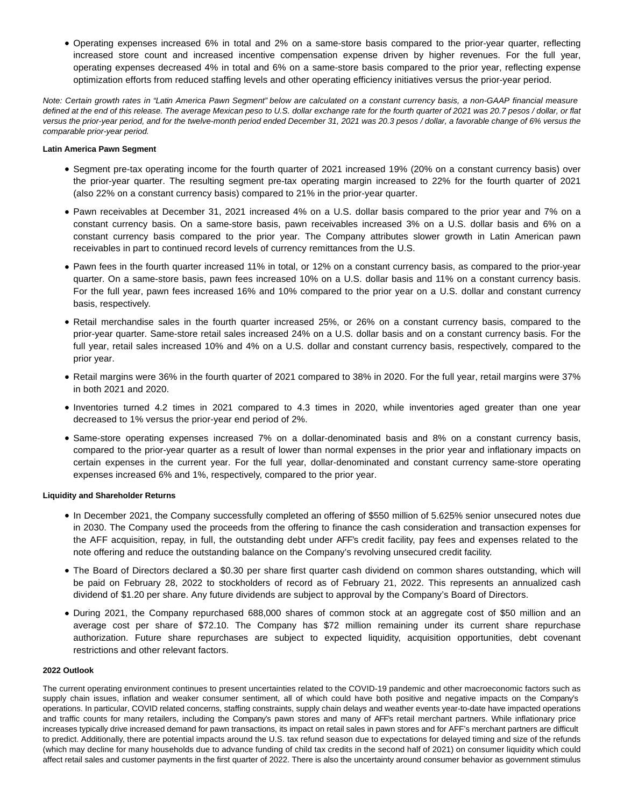Operating expenses increased 6% in total and 2% on a same-store basis compared to the prior-year quarter, reflecting increased store count and increased incentive compensation expense driven by higher revenues. For the full year, operating expenses decreased 4% in total and 6% on a same-store basis compared to the prior year, reflecting expense optimization efforts from reduced staffing levels and other operating efficiency initiatives versus the prior-year period.

Note: Certain growth rates in "Latin America Pawn Segment" below are calculated on a constant currency basis, a non-GAAP financial measure defined at the end of this release. The average Mexican peso to U.S. dollar exchange rate for the fourth quarter of 2021 was 20.7 pesos / dollar, or flat versus the prior-year period, and for the twelve-month period ended December 31, 2021 was 20.3 pesos / dollar, a favorable change of 6% versus the comparable prior-year period.

### **Latin America Pawn Segment**

- Segment pre-tax operating income for the fourth quarter of 2021 increased 19% (20% on a constant currency basis) over the prior-year quarter. The resulting segment pre-tax operating margin increased to 22% for the fourth quarter of 2021 (also 22% on a constant currency basis) compared to 21% in the prior-year quarter.
- Pawn receivables at December 31, 2021 increased 4% on a U.S. dollar basis compared to the prior year and 7% on a constant currency basis. On a same-store basis, pawn receivables increased 3% on a U.S. dollar basis and 6% on a constant currency basis compared to the prior year. The Company attributes slower growth in Latin American pawn receivables in part to continued record levels of currency remittances from the U.S.
- Pawn fees in the fourth quarter increased 11% in total, or 12% on a constant currency basis, as compared to the prior-year quarter. On a same-store basis, pawn fees increased 10% on a U.S. dollar basis and 11% on a constant currency basis. For the full year, pawn fees increased 16% and 10% compared to the prior year on a U.S. dollar and constant currency basis, respectively.
- Retail merchandise sales in the fourth quarter increased 25%, or 26% on a constant currency basis, compared to the prior-year quarter. Same-store retail sales increased 24% on a U.S. dollar basis and on a constant currency basis. For the full year, retail sales increased 10% and 4% on a U.S. dollar and constant currency basis, respectively, compared to the prior year.
- Retail margins were 36% in the fourth quarter of 2021 compared to 38% in 2020. For the full year, retail margins were 37% in both 2021 and 2020.
- Inventories turned 4.2 times in 2021 compared to 4.3 times in 2020, while inventories aged greater than one year decreased to 1% versus the prior-year end period of 2%.
- Same-store operating expenses increased 7% on a dollar-denominated basis and 8% on a constant currency basis, compared to the prior-year quarter as a result of lower than normal expenses in the prior year and inflationary impacts on certain expenses in the current year. For the full year, dollar-denominated and constant currency same-store operating expenses increased 6% and 1%, respectively, compared to the prior year.

# **Liquidity and Shareholder Returns**

- In December 2021, the Company successfully completed an offering of \$550 million of 5.625% senior unsecured notes due in 2030. The Company used the proceeds from the offering to finance the cash consideration and transaction expenses for the AFF acquisition, repay, in full, the outstanding debt under AFF's credit facility, pay fees and expenses related to the note offering and reduce the outstanding balance on the Company's revolving unsecured credit facility.
- The Board of Directors declared a \$0.30 per share first quarter cash dividend on common shares outstanding, which will be paid on February 28, 2022 to stockholders of record as of February 21, 2022. This represents an annualized cash dividend of \$1.20 per share. Any future dividends are subject to approval by the Company's Board of Directors.
- During 2021, the Company repurchased 688,000 shares of common stock at an aggregate cost of \$50 million and an average cost per share of \$72.10. The Company has \$72 million remaining under its current share repurchase authorization. Future share repurchases are subject to expected liquidity, acquisition opportunities, debt covenant restrictions and other relevant factors.

# **2022 Outlook**

The current operating environment continues to present uncertainties related to the COVID-19 pandemic and other macroeconomic factors such as supply chain issues, inflation and weaker consumer sentiment, all of which could have both positive and negative impacts on the Company's operations. In particular, COVID related concerns, staffing constraints, supply chain delays and weather events year-to-date have impacted operations and traffic counts for many retailers, including the Company's pawn stores and many of AFF's retail merchant partners. While inflationary price increases typically drive increased demand for pawn transactions, its impact on retail sales in pawn stores and for AFF's merchant partners are difficult to predict. Additionally, there are potential impacts around the U.S. tax refund season due to expectations for delayed timing and size of the refunds (which may decline for many households due to advance funding of child tax credits in the second half of 2021) on consumer liquidity which could affect retail sales and customer payments in the first quarter of 2022. There is also the uncertainty around consumer behavior as government stimulus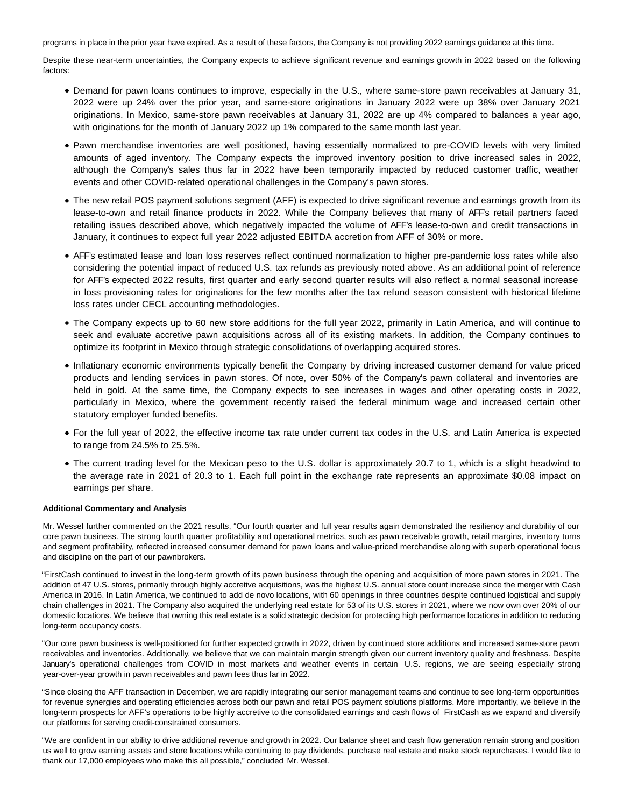programs in place in the prior year have expired. As a result of these factors, the Company is not providing 2022 earnings guidance at this time.

Despite these near-term uncertainties, the Company expects to achieve significant revenue and earnings growth in 2022 based on the following factors:

- Demand for pawn loans continues to improve, especially in the U.S., where same-store pawn receivables at January 31, 2022 were up 24% over the prior year, and same-store originations in January 2022 were up 38% over January 2021 originations. In Mexico, same-store pawn receivables at January 31, 2022 are up 4% compared to balances a year ago, with originations for the month of January 2022 up 1% compared to the same month last year.
- Pawn merchandise inventories are well positioned, having essentially normalized to pre-COVID levels with very limited amounts of aged inventory. The Company expects the improved inventory position to drive increased sales in 2022, although the Company's sales thus far in 2022 have been temporarily impacted by reduced customer traffic, weather events and other COVID-related operational challenges in the Company's pawn stores.
- The new retail POS payment solutions segment (AFF) is expected to drive significant revenue and earnings growth from its lease-to-own and retail finance products in 2022. While the Company believes that many of AFF's retail partners faced retailing issues described above, which negatively impacted the volume of AFF's lease-to-own and credit transactions in January, it continues to expect full year 2022 adjusted EBITDA accretion from AFF of 30% or more.
- AFF's estimated lease and loan loss reserves reflect continued normalization to higher pre-pandemic loss rates while also considering the potential impact of reduced U.S. tax refunds as previously noted above. As an additional point of reference for AFF's expected 2022 results, first quarter and early second quarter results will also reflect a normal seasonal increase in loss provisioning rates for originations for the few months after the tax refund season consistent with historical lifetime loss rates under CECL accounting methodologies.
- The Company expects up to 60 new store additions for the full year 2022, primarily in Latin America, and will continue to seek and evaluate accretive pawn acquisitions across all of its existing markets. In addition, the Company continues to optimize its footprint in Mexico through strategic consolidations of overlapping acquired stores.
- Inflationary economic environments typically benefit the Company by driving increased customer demand for value priced products and lending services in pawn stores. Of note, over 50% of the Company's pawn collateral and inventories are held in gold. At the same time, the Company expects to see increases in wages and other operating costs in 2022, particularly in Mexico, where the government recently raised the federal minimum wage and increased certain other statutory employer funded benefits.
- For the full year of 2022, the effective income tax rate under current tax codes in the U.S. and Latin America is expected to range from 24.5% to 25.5%.
- The current trading level for the Mexican peso to the U.S. dollar is approximately 20.7 to 1, which is a slight headwind to the average rate in 2021 of 20.3 to 1. Each full point in the exchange rate represents an approximate \$0.08 impact on earnings per share.

# **Additional Commentary and Analysis**

Mr. Wessel further commented on the 2021 results, "Our fourth quarter and full year results again demonstrated the resiliency and durability of our core pawn business. The strong fourth quarter profitability and operational metrics, such as pawn receivable growth, retail margins, inventory turns and segment profitability, reflected increased consumer demand for pawn loans and value-priced merchandise along with superb operational focus and discipline on the part of our pawnbrokers.

"FirstCash continued to invest in the long-term growth of its pawn business through the opening and acquisition of more pawn stores in 2021. The addition of 47 U.S. stores, primarily through highly accretive acquisitions, was the highest U.S. annual store count increase since the merger with Cash America in 2016. In Latin America, we continued to add de novo locations, with 60 openings in three countries despite continued logistical and supply chain challenges in 2021. The Company also acquired the underlying real estate for 53 of its U.S. stores in 2021, where we now own over 20% of our domestic locations. We believe that owning this real estate is a solid strategic decision for protecting high performance locations in addition to reducing long-term occupancy costs.

"Our core pawn business is well-positioned for further expected growth in 2022, driven by continued store additions and increased same-store pawn receivables and inventories. Additionally, we believe that we can maintain margin strength given our current inventory quality and freshness. Despite January's operational challenges from COVID in most markets and weather events in certain U.S. regions, we are seeing especially strong year-over-year growth in pawn receivables and pawn fees thus far in 2022.

"Since closing the AFF transaction in December, we are rapidly integrating our senior management teams and continue to see long-term opportunities for revenue synergies and operating efficiencies across both our pawn and retail POS payment solutions platforms. More importantly, we believe in the long-term prospects for AFF's operations to be highly accretive to the consolidated earnings and cash flows of FirstCash as we expand and diversify our platforms for serving credit-constrained consumers.

"We are confident in our ability to drive additional revenue and growth in 2022. Our balance sheet and cash flow generation remain strong and position us well to grow earning assets and store locations while continuing to pay dividends, purchase real estate and make stock repurchases. I would like to thank our 17,000 employees who make this all possible," concluded Mr. Wessel.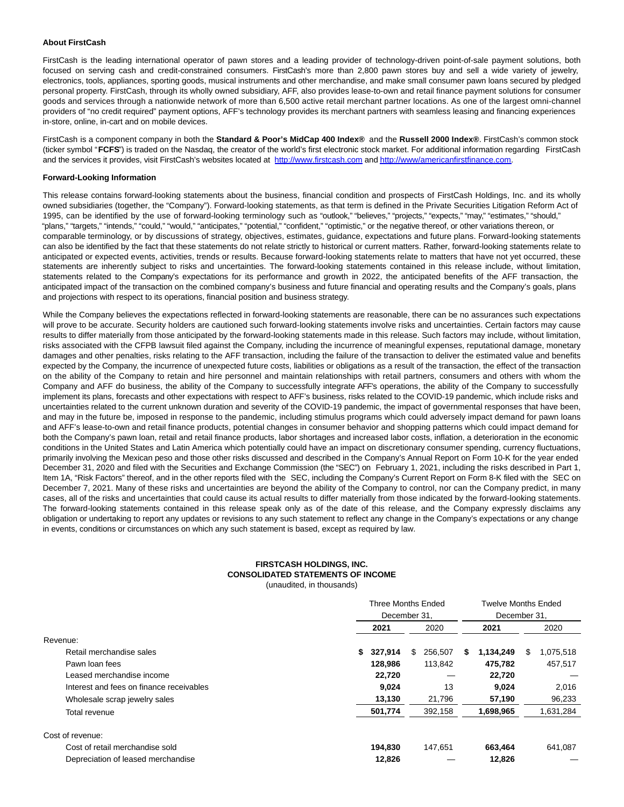### **About FirstCash**

FirstCash is the leading international operator of pawn stores and a leading provider of technology-driven point-of-sale payment solutions, both focused on serving cash and credit-constrained consumers. FirstCash's more than 2,800 pawn stores buy and sell a wide variety of jewelry, electronics, tools, appliances, sporting goods, musical instruments and other merchandise, and make small consumer pawn loans secured by pledged personal property. FirstCash, through its wholly owned subsidiary, AFF, also provides lease-to-own and retail finance payment solutions for consumer goods and services through a nationwide network of more than 6,500 active retail merchant partner locations. As one of the largest omni-channel providers of "no credit required" payment options, AFF's technology provides its merchant partners with seamless leasing and financing experiences in-store, online, in-cart and on mobile devices.

FirstCash is a component company in both the **Standard & Poor's MidCap 400 Index®** and the **Russell 2000 Index®**. FirstCash's common stock (ticker symbol "**FCFS**") is traded on the Nasdaq, the creator of the world's first electronic stock market. For additional information regarding FirstCash and the services it provides, visit FirstCash's websites located at [http://www.firstcash.com a](https://www.globenewswire.com/Tracker?data=BSoVSxQ0znR9OFUohpqzg9nX_HyieNBML9SU2qMrvi5zw6qGjfcxDqJiRD6yCfWRn4pTEOMWwEDQNtTmIFIjgXifEyPRavzfpI7FAK2hmcs=)n[d http://www/americanfirstfinance.com.](https://www.globenewswire.com/Tracker?data=BSoVSxQ0znR9OFUohpqzg4wIpJC2OWBgYfFLyAeId7MrNhsOoztBD1L6Quqeunmxj6JVqoBrneONRvlv2VklTMaP8Xcqc6dWSegXHvRZxT7SAfO-W4kVqarYYI7wpzkn)

#### **Forward-Looking Information**

This release contains forward-looking statements about the business, financial condition and prospects of FirstCash Holdings, Inc. and its wholly owned subsidiaries (together, the "Company"). Forward-looking statements, as that term is defined in the Private Securities Litigation Reform Act of 1995, can be identified by the use of forward-looking terminology such as "outlook," "believes," "projects," "expects," "may," "estimates," "should," "plans," "targets," "intends," "could," "would," "anticipates," "potential," "confident," "optimistic," or the negative thereof, or other variations thereon, or comparable terminology, or by discussions of strategy, objectives, estimates, guidance, expectations and future plans. Forward-looking statements can also be identified by the fact that these statements do not relate strictly to historical or current matters. Rather, forward-looking statements relate to anticipated or expected events, activities, trends or results. Because forward-looking statements relate to matters that have not yet occurred, these statements are inherently subject to risks and uncertainties. The forward-looking statements contained in this release include, without limitation, statements related to the Company's expectations for its performance and growth in 2022, the anticipated benefits of the AFF transaction, the anticipated impact of the transaction on the combined company's business and future financial and operating results and the Company's goals, plans and projections with respect to its operations, financial position and business strategy.

While the Company believes the expectations reflected in forward-looking statements are reasonable, there can be no assurances such expectations will prove to be accurate. Security holders are cautioned such forward-looking statements involve risks and uncertainties. Certain factors may cause results to differ materially from those anticipated by the forward-looking statements made in this release. Such factors may include, without limitation, risks associated with the CFPB lawsuit filed against the Company, including the incurrence of meaningful expenses, reputational damage, monetary damages and other penalties, risks relating to the AFF transaction, including the failure of the transaction to deliver the estimated value and benefits expected by the Company, the incurrence of unexpected future costs, liabilities or obligations as a result of the transaction, the effect of the transaction on the ability of the Company to retain and hire personnel and maintain relationships with retail partners, consumers and others with whom the Company and AFF do business, the ability of the Company to successfully integrate AFF's operations, the ability of the Company to successfully implement its plans, forecasts and other expectations with respect to AFF's business, risks related to the COVID-19 pandemic, which include risks and uncertainties related to the current unknown duration and severity of the COVID-19 pandemic, the impact of governmental responses that have been, and may in the future be, imposed in response to the pandemic, including stimulus programs which could adversely impact demand for pawn loans and AFF's lease-to-own and retail finance products, potential changes in consumer behavior and shopping patterns which could impact demand for both the Company's pawn loan, retail and retail finance products, labor shortages and increased labor costs, inflation, a deterioration in the economic conditions in the United States and Latin America which potentially could have an impact on discretionary consumer spending, currency fluctuations, primarily involving the Mexican peso and those other risks discussed and described in the Company's Annual Report on Form 10-K for the year ended December 31, 2020 and filed with the Securities and Exchange Commission (the "SEC") on February 1, 2021, including the risks described in Part 1, Item 1A, "Risk Factors" thereof, and in the other reports filed with the SEC, including the Company's Current Report on Form 8-K filed with the SEC on December 7, 2021. Many of these risks and uncertainties are beyond the ability of the Company to control, nor can the Company predict, in many cases, all of the risks and uncertainties that could cause its actual results to differ materially from those indicated by the forward-looking statements. The forward-looking statements contained in this release speak only as of the date of this release, and the Company expressly disclaims any obligation or undertaking to report any updates or revisions to any such statement to reflect any change in the Company's expectations or any change in events, conditions or circumstances on which any such statement is based, except as required by law.

# **FIRSTCASH HOLDINGS, INC. CONSOLIDATED STATEMENTS OF INCOME**

(unaudited, in thousands)

|                                          | <b>Three Months Ended</b> |               | <b>Twelve Months Ended</b> |                |
|------------------------------------------|---------------------------|---------------|----------------------------|----------------|
|                                          |                           | December 31.  |                            |                |
|                                          | 2021                      | 2020          | 2021                       | 2020           |
| Revenue:                                 |                           |               |                            |                |
| Retail merchandise sales                 | 327,914<br>S.             | 256.507<br>\$ | 1,134,249<br>S.            | 1,075,518<br>S |
| Pawn loan fees                           | 128,986                   | 113,842       | 475,782                    | 457,517        |
| Leased merchandise income                | 22.720                    |               | 22,720                     |                |
| Interest and fees on finance receivables | 9,024                     | 13            | 9,024                      | 2,016          |
| Wholesale scrap jewelry sales            | 13,130                    | 21,796        | 57,190                     | 96,233         |
| Total revenue                            | 501,774                   | 392,158       | 1,698,965                  | 1,631,284      |
| Cost of revenue:                         |                           |               |                            |                |
| Cost of retail merchandise sold          | 194.830                   | 147,651       | 663,464                    | 641,087        |
| Depreciation of leased merchandise       | 12,826                    |               | 12,826                     |                |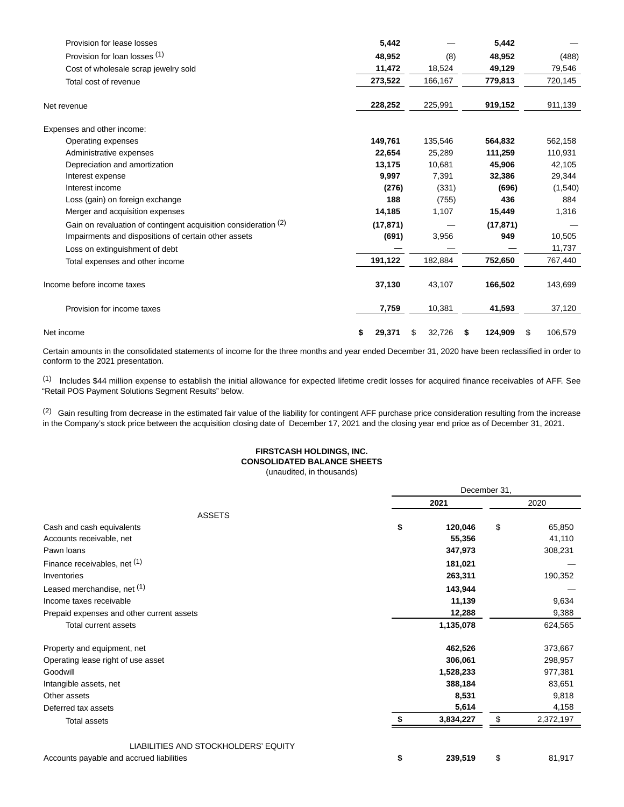| Provision for lease losses                                      | 5,442        |              | 5,442         |               |
|-----------------------------------------------------------------|--------------|--------------|---------------|---------------|
| Provision for loan losses (1)                                   | 48,952       | (8)          | 48,952        | (488)         |
| Cost of wholesale scrap jewelry sold                            | 11,472       | 18,524       | 49,129        | 79,546        |
| Total cost of revenue                                           | 273,522      | 166,167      | 779,813       | 720,145       |
| Net revenue                                                     | 228,252      | 225,991      | 919,152       | 911,139       |
| Expenses and other income:                                      |              |              |               |               |
| Operating expenses                                              | 149,761      | 135,546      | 564,832       | 562,158       |
| Administrative expenses                                         | 22,654       | 25,289       | 111,259       | 110,931       |
| Depreciation and amortization                                   | 13,175       | 10,681       | 45.906        | 42,105        |
| Interest expense                                                | 9,997        | 7,391        | 32,386        | 29,344        |
| Interest income                                                 | (276)        | (331)        | (696)         | (1,540)       |
| Loss (gain) on foreign exchange                                 | 188          | (755)        | 436           | 884           |
| Merger and acquisition expenses                                 | 14,185       | 1,107        | 15,449        | 1,316         |
| Gain on revaluation of contingent acquisition consideration (2) | (17, 871)    |              | (17, 871)     |               |
| Impairments and dispositions of certain other assets            | (691)        | 3,956        | 949           | 10,505        |
| Loss on extinguishment of debt                                  |              |              |               | 11,737        |
| Total expenses and other income                                 | 191,122      | 182,884      | 752,650       | 767,440       |
| Income before income taxes                                      | 37,130       | 43,107       | 166,502       | 143,699       |
| Provision for income taxes                                      | 7,759        | 10,381       | 41,593        | 37,120        |
| Net income                                                      | 29,371<br>\$ | \$<br>32,726 | 124,909<br>\$ | \$<br>106,579 |

Certain amounts in the consolidated statements of income for the three months and year ended December 31, 2020 have been reclassified in order to conform to the 2021 presentation.

(1) Includes \$44 million expense to establish the initial allowance for expected lifetime credit losses for acquired finance receivables of AFF. See "Retail POS Payment Solutions Segment Results" below.

(2) Gain resulting from decrease in the estimated fair value of the liability for contingent AFF purchase price consideration resulting from the increase in the Company's stock price between the acquisition closing date of December 17, 2021 and the closing year end price as of December 31, 2021.

# **FIRSTCASH HOLDINGS, INC. CONSOLIDATED BALANCE SHEETS**

(unaudited, in thousands)

|                                           | December 31, |           |    |           |
|-------------------------------------------|--------------|-----------|----|-----------|
|                                           |              | 2021      |    | 2020      |
| <b>ASSETS</b>                             |              |           |    |           |
| Cash and cash equivalents                 | \$           | 120,046   | \$ | 65,850    |
| Accounts receivable, net                  |              | 55,356    |    | 41,110    |
| Pawn loans                                |              | 347,973   |    | 308,231   |
| Finance receivables, net (1)              |              | 181,021   |    |           |
| Inventories                               |              | 263,311   |    | 190,352   |
| Leased merchandise, net (1)               |              | 143,944   |    |           |
| Income taxes receivable                   |              | 11,139    |    | 9,634     |
| Prepaid expenses and other current assets |              | 12,288    |    | 9,388     |
| Total current assets                      |              | 1,135,078 |    | 624,565   |
| Property and equipment, net               |              | 462,526   |    | 373,667   |
| Operating lease right of use asset        |              | 306,061   |    | 298,957   |
| Goodwill                                  |              | 1,528,233 |    | 977,381   |
| Intangible assets, net                    |              | 388,184   |    | 83,651    |
| Other assets                              |              | 8,531     |    | 9,818     |
| Deferred tax assets                       |              | 5,614     |    | 4,158     |
| <b>Total assets</b>                       |              | 3,834,227 | \$ | 2,372,197 |
| LIABILITIES AND STOCKHOLDERS' EQUITY      |              |           |    |           |
| Accounts payable and accrued liabilities  | \$           | 239,519   | \$ | 81,917    |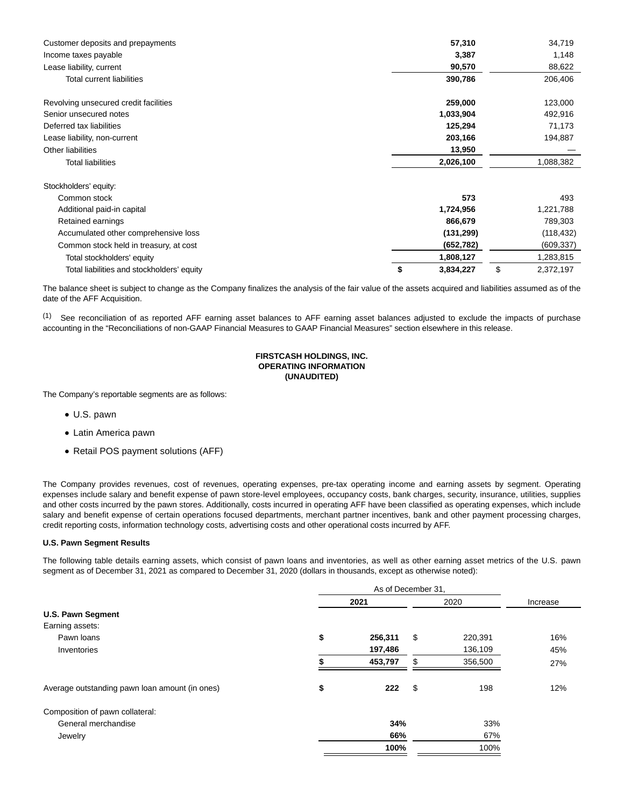| Customer deposits and prepayments          | 57,310          | 34,719          |
|--------------------------------------------|-----------------|-----------------|
| Income taxes payable                       | 3,387           | 1,148           |
| Lease liability, current                   | 90,570          | 88,622          |
| Total current liabilities                  | 390,786         | 206,406         |
| Revolving unsecured credit facilities      | 259,000         | 123,000         |
| Senior unsecured notes                     | 1,033,904       | 492,916         |
| Deferred tax liabilities                   | 125,294         | 71,173          |
| Lease liability, non-current               | 203,166         | 194,887         |
| Other liabilities                          | 13,950          |                 |
| <b>Total liabilities</b>                   | 2,026,100       | 1,088,382       |
| Stockholders' equity:                      |                 |                 |
| Common stock                               | 573             | 493             |
| Additional paid-in capital                 | 1,724,956       | 1,221,788       |
| Retained earnings                          | 866,679         | 789,303         |
| Accumulated other comprehensive loss       | (131, 299)      | (118, 432)      |
| Common stock held in treasury, at cost     | (652, 782)      | (609, 337)      |
| Total stockholders' equity                 | 1,808,127       | 1,283,815       |
| Total liabilities and stockholders' equity | \$<br>3,834,227 | \$<br>2,372,197 |

The balance sheet is subject to change as the Company finalizes the analysis of the fair value of the assets acquired and liabilities assumed as of the date of the AFF Acquisition.

(1) See reconciliation of as reported AFF earning asset balances to AFF earning asset balances adjusted to exclude the impacts of purchase accounting in the "Reconciliations of non-GAAP Financial Measures to GAAP Financial Measures" section elsewhere in this release.

# **FIRSTCASH HOLDINGS, INC. OPERATING INFORMATION (UNAUDITED)**

The Company's reportable segments are as follows:

- U.S. pawn
- Latin America pawn
- Retail POS payment solutions (AFF)

The Company provides revenues, cost of revenues, operating expenses, pre-tax operating income and earning assets by segment. Operating expenses include salary and benefit expense of pawn store-level employees, occupancy costs, bank charges, security, insurance, utilities, supplies and other costs incurred by the pawn stores. Additionally, costs incurred in operating AFF have been classified as operating expenses, which include salary and benefit expense of certain operations focused departments, merchant partner incentives, bank and other payment processing charges, credit reporting costs, information technology costs, advertising costs and other operational costs incurred by AFF.

### **U.S. Pawn Segment Results**

The following table details earning assets, which consist of pawn loans and inventories, as well as other earning asset metrics of the U.S. pawn segment as of December 31, 2021 as compared to December 31, 2020 (dollars in thousands, except as otherwise noted):

|                                                |    | 2021    | 2020          | Increase |
|------------------------------------------------|----|---------|---------------|----------|
| <b>U.S. Pawn Segment</b>                       |    |         |               |          |
| Earning assets:                                |    |         |               |          |
| Pawn loans                                     | \$ | 256,311 | \$<br>220,391 | 16%      |
| Inventories                                    |    | 197,486 | 136,109       | 45%      |
|                                                |    | 453,797 | \$<br>356,500 | 27%      |
| Average outstanding pawn loan amount (in ones) | \$ | 222     | \$<br>198     | 12%      |
| Composition of pawn collateral:                |    |         |               |          |
| General merchandise                            |    | 34%     | 33%           |          |
| Jewelry                                        |    | 66%     | 67%           |          |
|                                                |    | 100%    | 100%          |          |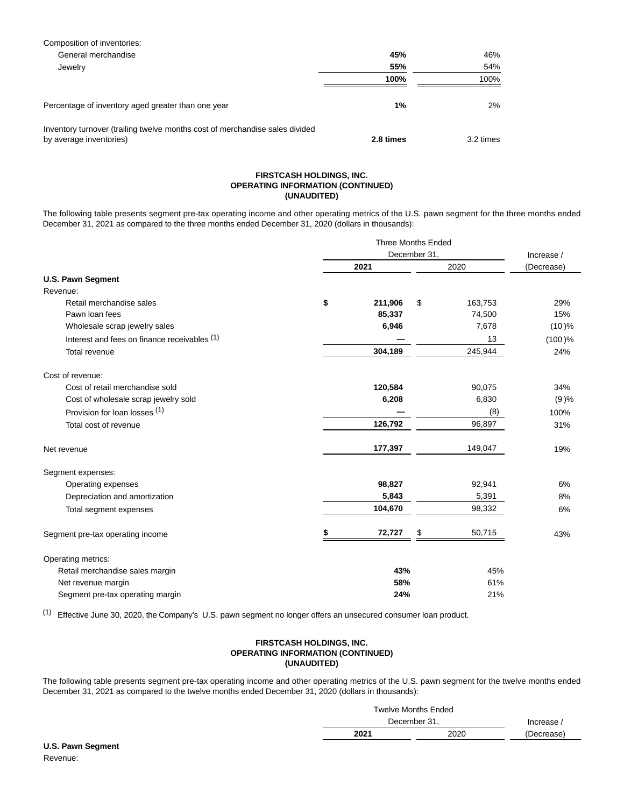| Composition of inventories:                                                                             |           |           |
|---------------------------------------------------------------------------------------------------------|-----------|-----------|
| General merchandise                                                                                     | 45%       | 46%       |
| Jewelry                                                                                                 | 55%       | 54%       |
|                                                                                                         | 100%      | 100%      |
| Percentage of inventory aged greater than one year                                                      | 1%        | 2%        |
| Inventory turnover (trailing twelve months cost of merchandise sales divided<br>by average inventories) | 2.8 times | 3.2 times |

#### **FIRSTCASH HOLDINGS, INC. OPERATING INFORMATION (CONTINUED) (UNAUDITED)**

The following table presents segment pre-tax operating income and other operating metrics of the U.S. pawn segment for the three months ended December 31, 2021 as compared to the three months ended December 31, 2020 (dollars in thousands):

|                                              | December 31, |         |      |            | Increase / |  |
|----------------------------------------------|--------------|---------|------|------------|------------|--|
|                                              | 2021         |         | 2020 | (Decrease) |            |  |
| <b>U.S. Pawn Segment</b>                     |              |         |      |            |            |  |
| Revenue:                                     |              |         |      |            |            |  |
| Retail merchandise sales                     | \$           | 211,906 | \$   | 163,753    | 29%        |  |
| Pawn loan fees                               |              | 85,337  |      | 74,500     | 15%        |  |
| Wholesale scrap jewelry sales                |              | 6,946   |      | 7,678      | (10)%      |  |
| Interest and fees on finance receivables (1) |              |         |      | 13         | $(100)$ %  |  |
| Total revenue                                |              | 304,189 |      | 245,944    | 24%        |  |
| Cost of revenue:                             |              |         |      |            |            |  |
| Cost of retail merchandise sold              |              | 120,584 |      | 90,075     | 34%        |  |
| Cost of wholesale scrap jewelry sold         |              | 6,208   |      | 6,830      | (9)%       |  |
| Provision for loan losses (1)                |              |         |      | (8)        | 100%       |  |
| Total cost of revenue                        |              | 126,792 |      | 96,897     | 31%        |  |
| Net revenue                                  |              | 177,397 |      | 149,047    | 19%        |  |
| Segment expenses:                            |              |         |      |            |            |  |
| Operating expenses                           |              | 98,827  |      | 92,941     | 6%         |  |
| Depreciation and amortization                |              | 5,843   |      | 5,391      | 8%         |  |
| Total segment expenses                       |              | 104,670 |      | 98,332     | 6%         |  |
| Segment pre-tax operating income             |              | 72,727  | \$   | 50,715     | 43%        |  |
| Operating metrics:                           |              |         |      |            |            |  |
| Retail merchandise sales margin              |              | 43%     |      | 45%        |            |  |
| Net revenue margin                           |              | 58%     |      | 61%        |            |  |
| Segment pre-tax operating margin             |              | 24%     |      | 21%        |            |  |

(1) Effective June 30, 2020, the Company's U.S. pawn segment no longer offers an unsecured consumer loan product.

# **FIRSTCASH HOLDINGS, INC. OPERATING INFORMATION (CONTINUED) (UNAUDITED)**

The following table presents segment pre-tax operating income and other operating metrics of the U.S. pawn segment for the twelve months ended December 31, 2021 as compared to the twelve months ended December 31, 2020 (dollars in thousands):

|              | <b>Twelve Months Ended</b> |            |
|--------------|----------------------------|------------|
| December 31. | Increase $\overline{a}$    |            |
| 2021         | 2020                       | (Decrease) |
|              |                            |            |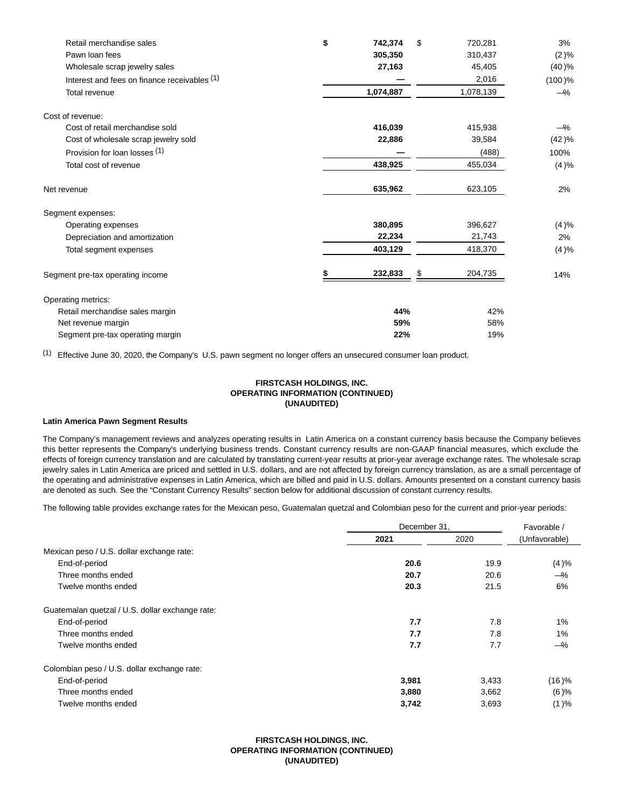| Retail merchandise sales                     | \$<br>742,374 | \$<br>720,281 | 3%        |
|----------------------------------------------|---------------|---------------|-----------|
| Pawn loan fees                               | 305,350       | 310,437       | $(2)\%$   |
| Wholesale scrap jewelry sales                | 27,163        | 45,405        | (40)%     |
| Interest and fees on finance receivables (1) |               | 2,016         | $(100)$ % |
| Total revenue                                | 1,074,887     | 1,078,139     | $-\%$     |
| Cost of revenue:                             |               |               |           |
| Cost of retail merchandise sold              | 416,039       | 415,938       | —%        |
| Cost of wholesale scrap jewelry sold         | 22,886        | 39,584        | (42)%     |
| Provision for loan losses (1)                |               | (488)         | 100%      |
| Total cost of revenue                        | 438,925       | 455,034       | (4)%      |
| Net revenue                                  | 635,962       | 623,105       | 2%        |
| Segment expenses:                            |               |               |           |
| Operating expenses                           | 380,895       | 396,627       | (4)%      |
| Depreciation and amortization                | 22,234        | 21,743        | 2%        |
| Total segment expenses                       | 403,129       | 418,370       | (4)%      |
| Segment pre-tax operating income             | 232,833       | \$<br>204,735 | 14%       |
| Operating metrics:                           |               |               |           |
| Retail merchandise sales margin              | 44%           | 42%           |           |
| Net revenue margin                           | 59%           | 58%           |           |
| Segment pre-tax operating margin             | 22%           | 19%           |           |

(1) Effective June 30, 2020, the Company's U.S. pawn segment no longer offers an unsecured consumer loan product.

# **FIRSTCASH HOLDINGS, INC. OPERATING INFORMATION (CONTINUED) (UNAUDITED)**

#### **Latin America Pawn Segment Results**

The Company's management reviews and analyzes operating results in Latin America on a constant currency basis because the Company believes this better represents the Company's underlying business trends. Constant currency results are non-GAAP financial measures, which exclude the effects of foreign currency translation and are calculated by translating current-year results at prior-year average exchange rates. The wholesale scrap jewelry sales in Latin America are priced and settled in U.S. dollars, and are not affected by foreign currency translation, as are a small percentage of the operating and administrative expenses in Latin America, which are billed and paid in U.S. dollars. Amounts presented on a constant currency basis are denoted as such. See the "Constant Currency Results" section below for additional discussion of constant currency results.

The following table provides exchange rates for the Mexican peso, Guatemalan quetzal and Colombian peso for the current and prior-year periods:

|                                                 | December 31, | Favorable / |               |
|-------------------------------------------------|--------------|-------------|---------------|
|                                                 | 2021         | 2020        | (Unfavorable) |
| Mexican peso / U.S. dollar exchange rate:       |              |             |               |
| End-of-period                                   | 20.6         | 19.9        | (4)%          |
| Three months ended                              | 20.7         | 20.6        | $-\%$         |
| Twelve months ended                             | 20.3         | 21.5        | 6%            |
| Guatemalan quetzal / U.S. dollar exchange rate: |              |             |               |
| End-of-period                                   | 7.7          | 7.8         | 1%            |
| Three months ended                              | 7.7          | 7.8         | 1%            |
| Twelve months ended                             | 7.7          | 7.7         | $-\%$         |
| Colombian peso / U.S. dollar exchange rate:     |              |             |               |
| End-of-period                                   | 3,981        | 3,433       | $(16)$ %      |
| Three months ended                              | 3,880        | 3,662       | $(6)$ %       |
| Twelve months ended                             | 3,742        | 3,693       | (1)%          |

# **FIRSTCASH HOLDINGS, INC. OPERATING INFORMATION (CONTINUED) (UNAUDITED)**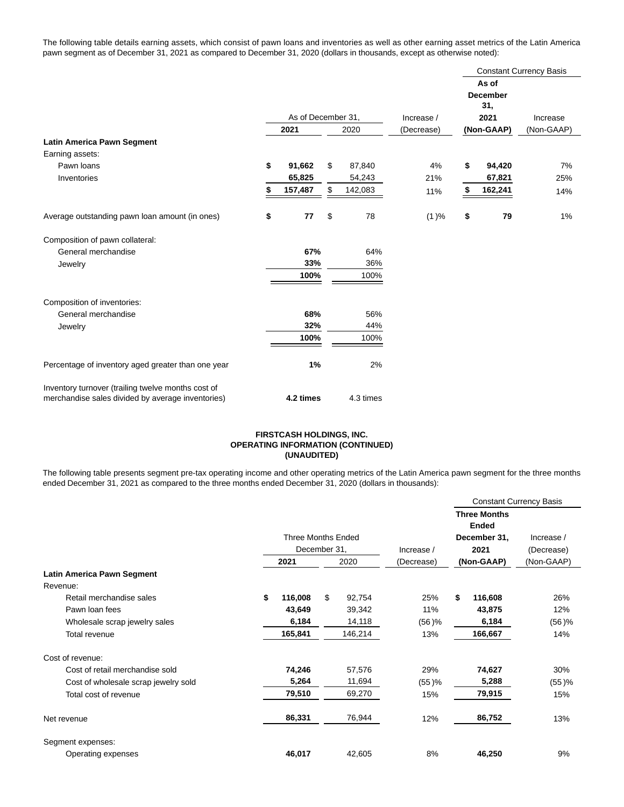The following table details earning assets, which consist of pawn loans and inventories as well as other earning asset metrics of the Latin America pawn segment as of December 31, 2021 as compared to December 31, 2020 (dollars in thousands, except as otherwise noted):

|                                                                                                         |                    |           |    |            |            | <b>Constant Currency Basis</b> |                 |            |  |
|---------------------------------------------------------------------------------------------------------|--------------------|-----------|----|------------|------------|--------------------------------|-----------------|------------|--|
|                                                                                                         |                    |           |    |            |            |                                | As of           |            |  |
|                                                                                                         |                    |           |    |            |            |                                | <b>December</b> |            |  |
|                                                                                                         |                    |           |    |            |            |                                | 31,             |            |  |
|                                                                                                         | As of December 31, |           |    | Increase / |            | 2021                           | Increase        |            |  |
|                                                                                                         |                    | 2021      |    | 2020       | (Decrease) |                                | (Non-GAAP)      | (Non-GAAP) |  |
| <b>Latin America Pawn Segment</b>                                                                       |                    |           |    |            |            |                                |                 |            |  |
| Earning assets:                                                                                         |                    |           |    |            |            |                                |                 |            |  |
| Pawn loans                                                                                              | \$                 | 91,662    | \$ | 87,840     | 4%         | \$                             | 94,420          | 7%         |  |
| Inventories                                                                                             |                    | 65,825    |    | 54,243     | 21%        |                                | 67,821          | 25%        |  |
|                                                                                                         |                    | 157,487   | \$ | 142,083    | 11%        | \$                             | 162,241         | 14%        |  |
| Average outstanding pawn loan amount (in ones)                                                          | \$                 | 77        | \$ | 78         | (1)%       | \$                             | 79              | 1%         |  |
| Composition of pawn collateral:                                                                         |                    |           |    |            |            |                                |                 |            |  |
| General merchandise                                                                                     |                    | 67%       |    | 64%        |            |                                |                 |            |  |
| Jewelry                                                                                                 |                    | 33%       |    | 36%        |            |                                |                 |            |  |
|                                                                                                         |                    | 100%      |    | 100%       |            |                                |                 |            |  |
| Composition of inventories:                                                                             |                    |           |    |            |            |                                |                 |            |  |
| General merchandise                                                                                     |                    | 68%       |    | 56%        |            |                                |                 |            |  |
| Jewelry                                                                                                 |                    | 32%       |    | 44%        |            |                                |                 |            |  |
|                                                                                                         |                    | 100%      |    | 100%       |            |                                |                 |            |  |
|                                                                                                         |                    |           |    |            |            |                                |                 |            |  |
| Percentage of inventory aged greater than one year                                                      |                    | 1%        |    | 2%         |            |                                |                 |            |  |
| Inventory turnover (trailing twelve months cost of<br>merchandise sales divided by average inventories) |                    | 4.2 times |    | 4.3 times  |            |                                |                 |            |  |
|                                                                                                         |                    |           |    |            |            |                                |                 |            |  |

#### **FIRSTCASH HOLDINGS, INC. OPERATING INFORMATION (CONTINUED) (UNAUDITED)**

The following table presents segment pre-tax operating income and other operating metrics of the Latin America pawn segment for the three months ended December 31, 2021 as compared to the three months ended December 31, 2020 (dollars in thousands):

|                                      |                                                                                                                                                                                                                                                                                                                                                                                                                  |  |  | <b>Constant Currency Basis</b> |              |            |
|--------------------------------------|------------------------------------------------------------------------------------------------------------------------------------------------------------------------------------------------------------------------------------------------------------------------------------------------------------------------------------------------------------------------------------------------------------------|--|--|--------------------------------|--------------|------------|
|                                      |                                                                                                                                                                                                                                                                                                                                                                                                                  |  |  |                                |              |            |
|                                      |                                                                                                                                                                                                                                                                                                                                                                                                                  |  |  |                                | <b>Ended</b> |            |
|                                      | <b>Three Months</b><br><b>Three Months Ended</b><br>December 31,<br>December 31,<br>2021<br>Increase /<br>2021<br>2020<br>(Decrease)<br>\$<br>\$<br>116,008<br>92,754<br>\$<br>25%<br>11%<br>43,649<br>39,342<br>14,118<br>6,184<br>$(56)$ %<br>165,841<br>146,214<br>13%<br>74,246<br>57,576<br>29%<br>5,264<br>11,694<br>(55)%<br>79,510<br>69,270<br>15%<br>86,331<br>76,944<br>12%<br>46,017<br>42,605<br>8% |  |  | Increase /                     |              |            |
|                                      |                                                                                                                                                                                                                                                                                                                                                                                                                  |  |  |                                |              | (Decrease) |
|                                      |                                                                                                                                                                                                                                                                                                                                                                                                                  |  |  | (Non-GAAP)                     |              | (Non-GAAP) |
| Latin America Pawn Segment           |                                                                                                                                                                                                                                                                                                                                                                                                                  |  |  |                                |              |            |
| Revenue:                             |                                                                                                                                                                                                                                                                                                                                                                                                                  |  |  |                                |              |            |
| Retail merchandise sales             |                                                                                                                                                                                                                                                                                                                                                                                                                  |  |  |                                | 116,608      | 26%        |
| Pawn loan fees                       |                                                                                                                                                                                                                                                                                                                                                                                                                  |  |  |                                | 43,875       | 12%        |
| Wholesale scrap jewelry sales        |                                                                                                                                                                                                                                                                                                                                                                                                                  |  |  |                                | 6,184        | $(56)$ %   |
| Total revenue                        |                                                                                                                                                                                                                                                                                                                                                                                                                  |  |  |                                | 166,667      | 14%        |
| Cost of revenue:                     |                                                                                                                                                                                                                                                                                                                                                                                                                  |  |  |                                |              |            |
| Cost of retail merchandise sold      |                                                                                                                                                                                                                                                                                                                                                                                                                  |  |  |                                | 74,627       | 30%        |
| Cost of wholesale scrap jewelry sold |                                                                                                                                                                                                                                                                                                                                                                                                                  |  |  |                                | 5,288        | $(55)$ %   |
| Total cost of revenue                |                                                                                                                                                                                                                                                                                                                                                                                                                  |  |  |                                | 79,915       | 15%        |
| Net revenue                          |                                                                                                                                                                                                                                                                                                                                                                                                                  |  |  |                                | 86,752       | 13%        |
| Segment expenses:                    |                                                                                                                                                                                                                                                                                                                                                                                                                  |  |  |                                |              |            |
| Operating expenses                   |                                                                                                                                                                                                                                                                                                                                                                                                                  |  |  |                                | 46,250       | 9%         |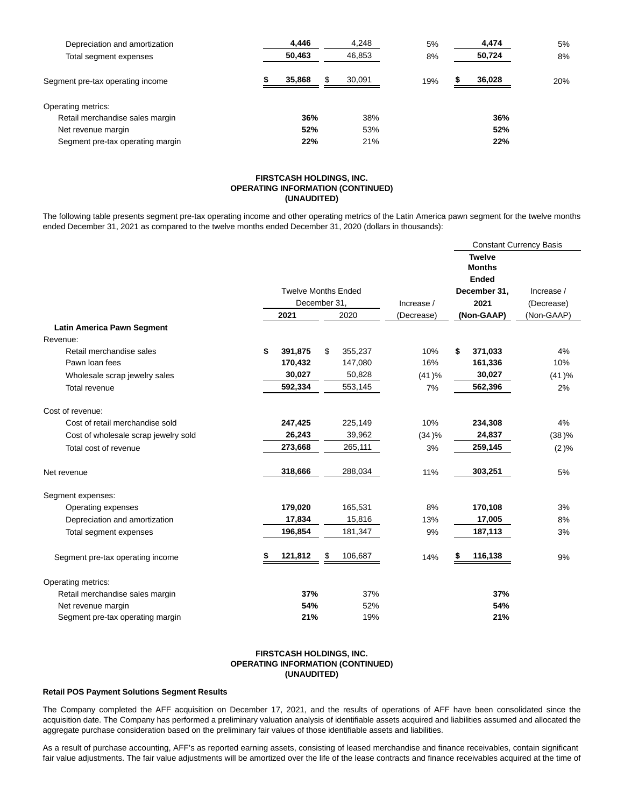| Depreciation and amortization    | 4.446  | 4,248        | 5%  | 4,474  | 5%  |
|----------------------------------|--------|--------------|-----|--------|-----|
| Total segment expenses           | 50,463 | 46,853       | 8%  | 50,724 | 8%  |
| Segment pre-tax operating income | 35,868 | 30.091<br>\$ | 19% | 36,028 | 20% |
| Operating metrics:               |        |              |     |        |     |
| Retail merchandise sales margin  | 36%    | 38%          |     | 36%    |     |
| Net revenue margin               | 52%    | 53%          |     | 52%    |     |
| Segment pre-tax operating margin | 22%    | 21%          |     | 22%    |     |

#### **FIRSTCASH HOLDINGS, INC. OPERATING INFORMATION (CONTINUED) (UNAUDITED)**

The following table presents segment pre-tax operating income and other operating metrics of the Latin America pawn segment for the twelve months ended December 31, 2021 as compared to the twelve months ended December 31, 2020 (dollars in thousands):

|                                      |               |                            |            | <b>Constant Currency Basis</b>                 |            |  |  |  |
|--------------------------------------|---------------|----------------------------|------------|------------------------------------------------|------------|--|--|--|
|                                      |               |                            |            | <b>Twelve</b><br><b>Months</b><br><b>Ended</b> |            |  |  |  |
|                                      |               | <b>Twelve Months Ended</b> |            | December 31,                                   | Increase / |  |  |  |
|                                      |               | December 31,               | Increase / | 2021                                           | (Decrease) |  |  |  |
|                                      | 2021          | 2020                       | (Decrease) | (Non-GAAP)                                     | (Non-GAAP) |  |  |  |
| <b>Latin America Pawn Segment</b>    |               |                            |            |                                                |            |  |  |  |
| Revenue:                             |               |                            |            |                                                |            |  |  |  |
| Retail merchandise sales             | \$<br>391,875 | \$<br>355,237              | 10%        | \$<br>371,033                                  | 4%         |  |  |  |
| Pawn loan fees                       | 170,432       | 147,080                    | 16%        | 161,336                                        | 10%        |  |  |  |
| Wholesale scrap jewelry sales        | 30,027        | 50,828                     | (41)%      | 30,027                                         | (41)%      |  |  |  |
| Total revenue                        | 592,334       | 553,145                    | 7%         | 562,396                                        | 2%         |  |  |  |
| Cost of revenue:                     |               |                            |            |                                                |            |  |  |  |
| Cost of retail merchandise sold      | 247,425       | 225,149                    | 10%        | 234,308                                        | 4%         |  |  |  |
| Cost of wholesale scrap jewelry sold | 26,243        | 39,962                     | (34)%      | 24,837                                         | (38)%      |  |  |  |
| Total cost of revenue                | 273,668       | 265,111                    | 3%         | 259,145                                        | (2)%       |  |  |  |
| Net revenue                          | 318,666       | 288,034                    | 11%        | 303,251                                        | 5%         |  |  |  |
| Segment expenses:                    |               |                            |            |                                                |            |  |  |  |
| Operating expenses                   | 179,020       | 165,531                    | 8%         | 170,108                                        | 3%         |  |  |  |
| Depreciation and amortization        | 17,834        | 15,816                     | 13%        | 17,005                                         | 8%         |  |  |  |
| Total segment expenses               | 196,854       | 181,347                    | 9%         | 187,113                                        | 3%         |  |  |  |
| Segment pre-tax operating income     | 121,812       | 106,687<br>\$              | 14%        | 116,138<br>\$                                  | 9%         |  |  |  |
| Operating metrics:                   |               |                            |            |                                                |            |  |  |  |
| Retail merchandise sales margin      | 37%           | 37%                        |            | 37%                                            |            |  |  |  |
| Net revenue margin                   | 54%           | 52%                        |            | 54%                                            |            |  |  |  |
| Segment pre-tax operating margin     | 21%           | 19%                        |            | 21%                                            |            |  |  |  |

### **FIRSTCASH HOLDINGS, INC. OPERATING INFORMATION (CONTINUED) (UNAUDITED)**

### **Retail POS Payment Solutions Segment Results**

The Company completed the AFF acquisition on December 17, 2021, and the results of operations of AFF have been consolidated since the acquisition date. The Company has performed a preliminary valuation analysis of identifiable assets acquired and liabilities assumed and allocated the aggregate purchase consideration based on the preliminary fair values of those identifiable assets and liabilities.

As a result of purchase accounting, AFF's as reported earning assets, consisting of leased merchandise and finance receivables, contain significant fair value adjustments. The fair value adjustments will be amortized over the life of the lease contracts and finance receivables acquired at the time of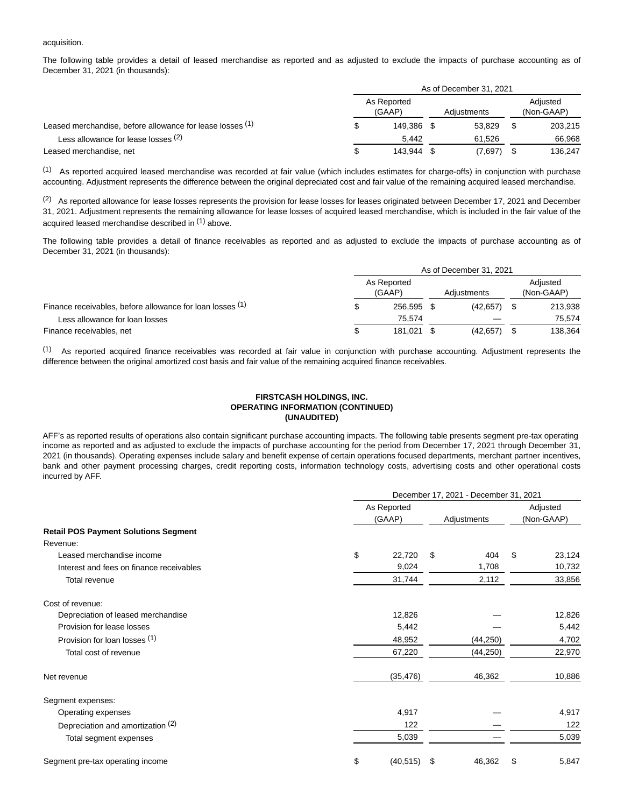#### acquisition.

The following table provides a detail of leased merchandise as reported and as adjusted to exclude the impacts of purchase accounting as of December 31, 2021 (in thousands):

|                                                           | As of December 31, 2021 |  |             |   |                        |  |  |
|-----------------------------------------------------------|-------------------------|--|-------------|---|------------------------|--|--|
|                                                           | As Reported<br>(GAAP)   |  | Adiustments |   | Adjusted<br>(Non-GAAP) |  |  |
| Leased merchandise, before allowance for lease losses (1) | 149.386                 |  | 53.829      |   | 203.215                |  |  |
| Less allowance for lease losses <sup>(2)</sup>            | 5.442                   |  | 61.526      |   | 66.968                 |  |  |
| Leased merchandise, net                                   | 143.944                 |  | (7,697)     | S | 136.247                |  |  |

(1) As reported acquired leased merchandise was recorded at fair value (which includes estimates for charge-offs) in conjunction with purchase accounting. Adjustment represents the difference between the original depreciated cost and fair value of the remaining acquired leased merchandise.

(2) As reported allowance for lease losses represents the provision for lease losses for leases originated between December 17, 2021 and December 31, 2021. Adjustment represents the remaining allowance for lease losses of acquired leased merchandise, which is included in the fair value of the acquired leased merchandise described in <sup>(1)</sup> above.

The following table provides a detail of finance receivables as reported and as adjusted to exclude the impacts of purchase accounting as of December 31, 2021 (in thousands):

|                                                           | As of December 31, 2021 |                       |  |             |  |                        |  |  |  |  |
|-----------------------------------------------------------|-------------------------|-----------------------|--|-------------|--|------------------------|--|--|--|--|
|                                                           |                         | As Reported<br>(GAAP) |  | Adiustments |  | Adjusted<br>(Non-GAAP) |  |  |  |  |
| Finance receivables, before allowance for loan losses (1) |                         | 256.595               |  | (42.657)    |  | 213,938                |  |  |  |  |
| Less allowance for loan losses                            |                         | 75.574                |  |             |  | 75.574                 |  |  |  |  |
| Finance receivables, net                                  |                         | 181.021               |  | (42, 657)   |  | 138,364                |  |  |  |  |

(1) As reported acquired finance receivables was recorded at fair value in conjunction with purchase accounting. Adjustment represents the difference between the original amortized cost basis and fair value of the remaining acquired finance receivables.

#### **FIRSTCASH HOLDINGS, INC. OPERATING INFORMATION (CONTINUED) (UNAUDITED)**

AFF's as reported results of operations also contain significant purchase accounting impacts. The following table presents segment pre-tax operating income as reported and as adjusted to exclude the impacts of purchase accounting for the period from December 17, 2021 through December 31, 2021 (in thousands). Operating expenses include salary and benefit expense of certain operations focused departments, merchant partner incentives, bank and other payment processing charges, credit reporting costs, information technology costs, advertising costs and other operational costs incurred by AFF.

|                                             | December 17, 2021 - December 31, 2021 |    |           |    |                        |  |  |  |  |  |
|---------------------------------------------|---------------------------------------|----|-----------|----|------------------------|--|--|--|--|--|
|                                             | As Reported<br>(GAAP)                 |    |           |    | Adjusted<br>(Non-GAAP) |  |  |  |  |  |
| <b>Retail POS Payment Solutions Segment</b> |                                       |    |           |    |                        |  |  |  |  |  |
| Revenue:                                    |                                       |    |           |    |                        |  |  |  |  |  |
| Leased merchandise income                   | \$<br>22,720                          | \$ | 404       | \$ | 23,124                 |  |  |  |  |  |
| Interest and fees on finance receivables    | 9,024                                 |    | 1,708     |    | 10,732                 |  |  |  |  |  |
| Total revenue                               | 31,744                                |    | 2,112     |    | 33,856                 |  |  |  |  |  |
| Cost of revenue:                            |                                       |    |           |    |                        |  |  |  |  |  |
| Depreciation of leased merchandise          | 12,826                                |    |           |    | 12,826                 |  |  |  |  |  |
| Provision for lease losses                  | 5,442                                 |    |           |    | 5,442                  |  |  |  |  |  |
| Provision for loan losses (1)               | 48,952                                |    | (44, 250) |    | 4,702                  |  |  |  |  |  |
| Total cost of revenue                       | 67,220                                |    | (44, 250) |    | 22,970                 |  |  |  |  |  |
| Net revenue                                 | (35, 476)                             |    | 46,362    |    | 10,886                 |  |  |  |  |  |
| Segment expenses:                           |                                       |    |           |    |                        |  |  |  |  |  |
| Operating expenses                          | 4,917                                 |    |           |    | 4,917                  |  |  |  |  |  |
| Depreciation and amortization (2)           | 122                                   |    |           |    | 122                    |  |  |  |  |  |
| Total segment expenses                      | 5,039                                 |    |           |    | 5,039                  |  |  |  |  |  |
| Segment pre-tax operating income            | \$<br>(40, 515)                       | \$ | 46,362    | \$ | 5,847                  |  |  |  |  |  |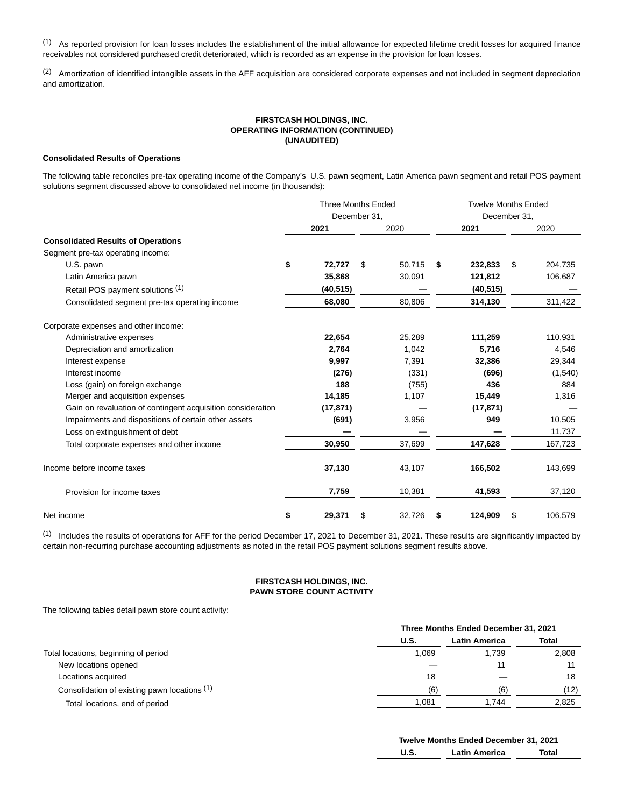(1) As reported provision for loan losses includes the establishment of the initial allowance for expected lifetime credit losses for acquired finance receivables not considered purchased credit deteriorated, which is recorded as an expense in the provision for loan losses.

(2) Amortization of identified intangible assets in the AFF acquisition are considered corporate expenses and not included in segment depreciation and amortization.

# **FIRSTCASH HOLDINGS, INC. OPERATING INFORMATION (CONTINUED) (UNAUDITED)**

#### **Consolidated Results of Operations**

The following table reconciles pre-tax operating income of the Company's U.S. pawn segment, Latin America pawn segment and retail POS payment solutions segment discussed above to consolidated net income (in thousands):

|                                                             |    | <b>Three Months Ended</b> |              | <b>Twelve Months Ended</b> |              |    |         |  |  |  |
|-------------------------------------------------------------|----|---------------------------|--------------|----------------------------|--------------|----|---------|--|--|--|
|                                                             |    | December 31,              |              |                            | December 31, |    |         |  |  |  |
| <b>Consolidated Results of Operations</b>                   |    | 2021                      | 2020         |                            | 2021         |    | 2020    |  |  |  |
|                                                             |    |                           |              |                            |              |    |         |  |  |  |
| Segment pre-tax operating income:                           |    |                           |              |                            |              |    |         |  |  |  |
| U.S. pawn                                                   | \$ | 72,727                    | \$<br>50.715 | \$                         | 232,833      | \$ | 204,735 |  |  |  |
| Latin America pawn                                          |    | 35,868                    | 30,091       |                            | 121,812      |    | 106,687 |  |  |  |
| Retail POS payment solutions (1)                            |    | (40, 515)                 |              |                            | (40, 515)    |    |         |  |  |  |
| Consolidated segment pre-tax operating income               |    | 68,080                    | 80,806       |                            | 314,130      |    | 311,422 |  |  |  |
| Corporate expenses and other income:                        |    |                           |              |                            |              |    |         |  |  |  |
| Administrative expenses                                     |    | 22,654                    | 25,289       |                            | 111,259      |    | 110,931 |  |  |  |
| Depreciation and amortization                               |    | 2,764                     | 1,042        |                            | 5,716        |    | 4,546   |  |  |  |
| Interest expense                                            |    | 9,997                     | 7,391        |                            | 32,386       |    | 29,344  |  |  |  |
| Interest income                                             |    | (276)                     | (331)        |                            | (696)        |    | (1,540) |  |  |  |
| Loss (gain) on foreign exchange                             |    | 188                       | (755)        |                            | 436          |    | 884     |  |  |  |
| Merger and acquisition expenses                             |    | 14,185                    | 1,107        |                            | 15,449       |    | 1,316   |  |  |  |
| Gain on revaluation of contingent acquisition consideration |    | (17, 871)                 |              |                            | (17, 871)    |    |         |  |  |  |
| Impairments and dispositions of certain other assets        |    | (691)                     | 3,956        |                            | 949          |    | 10,505  |  |  |  |
| Loss on extinguishment of debt                              |    |                           |              |                            |              |    | 11,737  |  |  |  |
| Total corporate expenses and other income                   |    | 30,950                    | 37,699       |                            | 147,628      |    | 167,723 |  |  |  |
| Income before income taxes                                  |    | 37,130                    | 43,107       |                            | 166,502      |    | 143,699 |  |  |  |
| Provision for income taxes                                  |    | 7,759                     | 10,381       |                            | 41,593       |    | 37,120  |  |  |  |
| Net income                                                  | \$ | 29,371                    | \$<br>32,726 | \$                         | 124,909      | \$ | 106,579 |  |  |  |

(1) Includes the results of operations for AFF for the period December 17, 2021 to December 31, 2021. These results are significantly impacted by certain non-recurring purchase accounting adjustments as noted in the retail POS payment solutions segment results above.

# **FIRSTCASH HOLDINGS, INC. PAWN STORE COUNT ACTIVITY**

The following tables detail pawn store count activity:

|                                              | Three Months Ended December 31, 2021 |                      |              |  |  |  |  |  |
|----------------------------------------------|--------------------------------------|----------------------|--------------|--|--|--|--|--|
|                                              | U.S.                                 | <b>Latin America</b> | <b>Total</b> |  |  |  |  |  |
| Total locations, beginning of period         | 1.069                                | 1.739                | 2.808        |  |  |  |  |  |
| New locations opened                         |                                      |                      |              |  |  |  |  |  |
| Locations acquired                           | 18                                   |                      | 18           |  |  |  |  |  |
| Consolidation of existing pawn locations (1) | (6)                                  | (6)                  | (12)         |  |  |  |  |  |
| Total locations, end of period               | 1.081                                | 1.744                | 2.825        |  |  |  |  |  |

|      | Twelve Months Ended December 31, 2021 |       |  |  |  |  |  |  |  |  |
|------|---------------------------------------|-------|--|--|--|--|--|--|--|--|
| U.S. | <b>Latin America</b>                  | Total |  |  |  |  |  |  |  |  |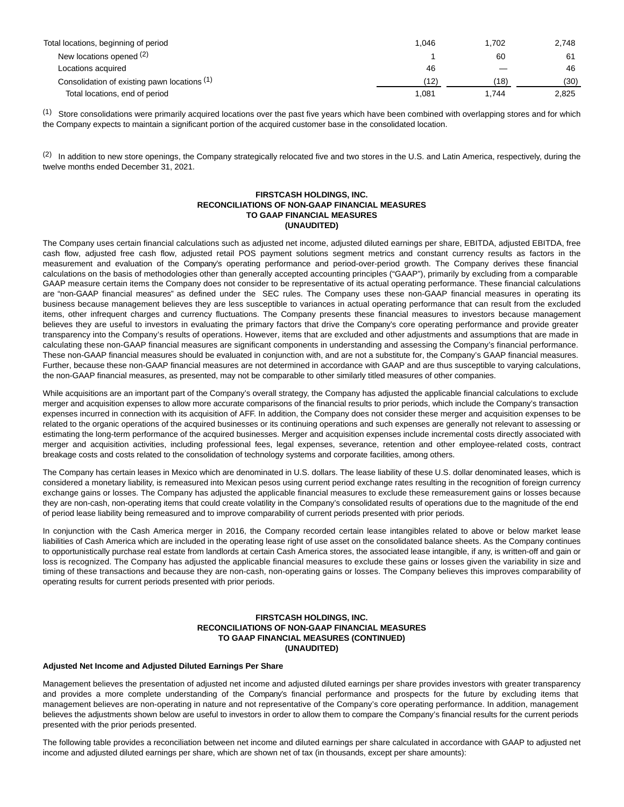| Total locations, beginning of period         | 1.046 | 1.702 | 2.748 |
|----------------------------------------------|-------|-------|-------|
| New locations opened (2)                     |       | 60    | 61    |
| Locations acquired                           | 46    |       | 46    |
| Consolidation of existing pawn locations (1) | (12)  | (18)  | (30)  |
| Total locations, end of period               | 1.081 | 1.744 | 2,825 |

(1) Store consolidations were primarily acquired locations over the past five years which have been combined with overlapping stores and for which the Company expects to maintain a significant portion of the acquired customer base in the consolidated location.

<sup>(2)</sup> In addition to new store openings, the Company strategically relocated five and two stores in the U.S. and Latin America, respectively, during the twelve months ended December 31, 2021.

# **FIRSTCASH HOLDINGS, INC. RECONCILIATIONS OF NON-GAAP FINANCIAL MEASURES TO GAAP FINANCIAL MEASURES (UNAUDITED)**

The Company uses certain financial calculations such as adjusted net income, adjusted diluted earnings per share, EBITDA, adjusted EBITDA, free cash flow, adjusted free cash flow, adjusted retail POS payment solutions segment metrics and constant currency results as factors in the measurement and evaluation of the Company's operating performance and period-over-period growth. The Company derives these financial calculations on the basis of methodologies other than generally accepted accounting principles ("GAAP"), primarily by excluding from a comparable GAAP measure certain items the Company does not consider to be representative of its actual operating performance. These financial calculations are "non-GAAP financial measures" as defined under the SEC rules. The Company uses these non-GAAP financial measures in operating its business because management believes they are less susceptible to variances in actual operating performance that can result from the excluded items, other infrequent charges and currency fluctuations. The Company presents these financial measures to investors because management believes they are useful to investors in evaluating the primary factors that drive the Company's core operating performance and provide greater transparency into the Company's results of operations. However, items that are excluded and other adjustments and assumptions that are made in calculating these non-GAAP financial measures are significant components in understanding and assessing the Company's financial performance. These non-GAAP financial measures should be evaluated in conjunction with, and are not a substitute for, the Company's GAAP financial measures. Further, because these non-GAAP financial measures are not determined in accordance with GAAP and are thus susceptible to varying calculations, the non-GAAP financial measures, as presented, may not be comparable to other similarly titled measures of other companies.

While acquisitions are an important part of the Company's overall strategy, the Company has adjusted the applicable financial calculations to exclude merger and acquisition expenses to allow more accurate comparisons of the financial results to prior periods, which include the Company's transaction expenses incurred in connection with its acquisition of AFF. In addition, the Company does not consider these merger and acquisition expenses to be related to the organic operations of the acquired businesses or its continuing operations and such expenses are generally not relevant to assessing or estimating the long-term performance of the acquired businesses. Merger and acquisition expenses include incremental costs directly associated with merger and acquisition activities, including professional fees, legal expenses, severance, retention and other employee-related costs, contract breakage costs and costs related to the consolidation of technology systems and corporate facilities, among others.

The Company has certain leases in Mexico which are denominated in U.S. dollars. The lease liability of these U.S. dollar denominated leases, which is considered a monetary liability, is remeasured into Mexican pesos using current period exchange rates resulting in the recognition of foreign currency exchange gains or losses. The Company has adjusted the applicable financial measures to exclude these remeasurement gains or losses because they are non-cash, non-operating items that could create volatility in the Company's consolidated results of operations due to the magnitude of the end of period lease liability being remeasured and to improve comparability of current periods presented with prior periods.

In conjunction with the Cash America merger in 2016, the Company recorded certain lease intangibles related to above or below market lease liabilities of Cash America which are included in the operating lease right of use asset on the consolidated balance sheets. As the Company continues to opportunistically purchase real estate from landlords at certain Cash America stores, the associated lease intangible, if any, is written-off and gain or loss is recognized. The Company has adjusted the applicable financial measures to exclude these gains or losses given the variability in size and timing of these transactions and because they are non-cash, non-operating gains or losses. The Company believes this improves comparability of operating results for current periods presented with prior periods.

# **FIRSTCASH HOLDINGS, INC. RECONCILIATIONS OF NON-GAAP FINANCIAL MEASURES TO GAAP FINANCIAL MEASURES (CONTINUED) (UNAUDITED)**

### **Adjusted Net Income and Adjusted Diluted Earnings Per Share**

Management believes the presentation of adjusted net income and adjusted diluted earnings per share provides investors with greater transparency and provides a more complete understanding of the Company's financial performance and prospects for the future by excluding items that management believes are non-operating in nature and not representative of the Company's core operating performance. In addition, management believes the adjustments shown below are useful to investors in order to allow them to compare the Company's financial results for the current periods presented with the prior periods presented.

The following table provides a reconciliation between net income and diluted earnings per share calculated in accordance with GAAP to adjusted net income and adjusted diluted earnings per share, which are shown net of tax (in thousands, except per share amounts):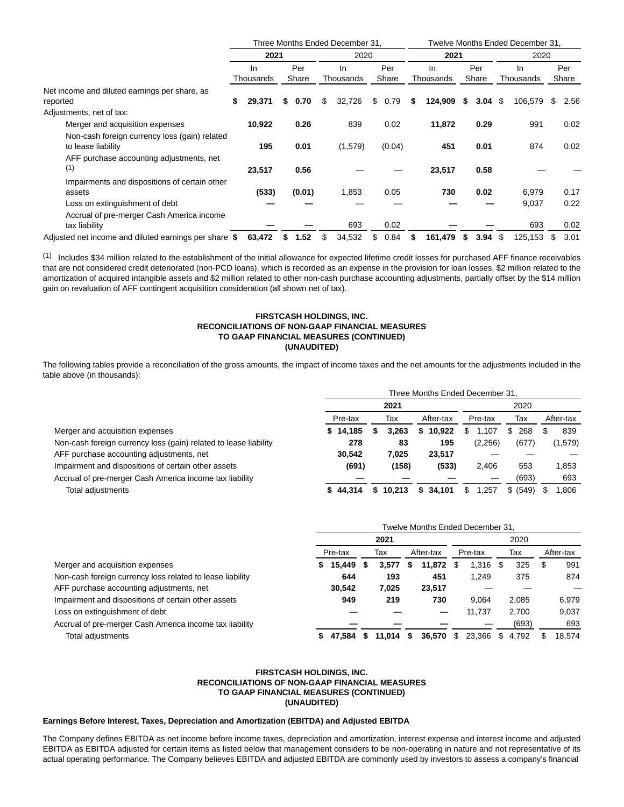|                                                       |              | Three Months Ended December 31. |    |           |            |    | Twelve Months Ended December 31, |   |       |           |         |       |      |  |
|-------------------------------------------------------|--------------|---------------------------------|----|-----------|------------|----|----------------------------------|---|-------|-----------|---------|-------|------|--|
|                                                       | 2021         |                                 |    | 2020      |            |    | 2021                             |   |       | 2020      |         |       |      |  |
|                                                       | In           | Per                             |    | In        | Per        |    | <b>In</b>                        |   | Per   | In        |         | Per   |      |  |
|                                                       | Thousands    | Share                           |    | Thousands | Share      |    | Thousands                        |   | Share | Thousands |         | Share |      |  |
| Net income and diluted earnings per share, as         |              |                                 |    |           |            |    |                                  |   |       |           |         |       |      |  |
| reported                                              | 29,371<br>\$ | 0.70                            | \$ | 32,726    | \$<br>0.79 | X. | 124,909                          | S | 3.04  | \$        | 106,579 | S     | 2.56 |  |
| Adjustments, net of tax:                              |              |                                 |    |           |            |    |                                  |   |       |           |         |       |      |  |
| Merger and acquisition expenses                       | 10,922       | 0.26                            |    | 839       | 0.02       |    | 11,872                           |   | 0.29  |           | 991     |       | 0.02 |  |
| Non-cash foreign currency loss (gain) related         |              |                                 |    |           |            |    |                                  |   |       |           |         |       |      |  |
| to lease liability                                    | 195          | 0.01                            |    | (1,579)   | (0.04)     |    | 451                              |   | 0.01  |           | 874     |       | 0.02 |  |
| AFF purchase accounting adjustments, net              |              |                                 |    |           |            |    |                                  |   |       |           |         |       |      |  |
| (1)                                                   | 23,517       | 0.56                            |    |           |            |    | 23,517                           |   | 0.58  |           |         |       |      |  |
| Impairments and dispositions of certain other         |              |                                 |    |           |            |    |                                  |   |       |           |         |       |      |  |
| assets                                                | (533)        | (0.01)                          |    | 1,853     | 0.05       |    | 730                              |   | 0.02  |           | 6,979   |       | 0.17 |  |
| Loss on extinguishment of debt                        |              |                                 |    |           |            |    |                                  |   |       |           | 9,037   |       | 0.22 |  |
| Accrual of pre-merger Cash America income             |              |                                 |    |           |            |    |                                  |   |       |           |         |       |      |  |
| tax liability                                         |              |                                 |    | 693       | 0.02       |    |                                  |   |       |           | 693     |       | 0.02 |  |
| Adjusted net income and diluted earnings per share \$ | 63,472       | 1.52                            | S  | 34,532    | 0.84<br>S. | S  | 161,479                          | 5 | 3.94  | \$        | 125,153 | S.    | 3.01 |  |

(1) Includes \$34 million related to the establishment of the initial allowance for expected lifetime credit losses for purchased AFF finance receivables that are not considered credit deteriorated (non-PCD loans), which is recorded as an expense in the provision for loan losses, \$2 million related to the amortization of acquired intangible assets and \$2 million related to other non-cash purchase accounting adjustments, partially offset by the \$14 million gain on revaluation of AFF contingent acquisition consideration (all shown net of tax).

#### **FIRSTCASH HOLDINGS, INC. RECONCILIATIONS OF NON-GAAP FINANCIAL MEASURES TO GAAP FINANCIAL MEASURES (CONTINUED) (UNAUDITED)**

The following tables provide a reconciliation of the gross amounts, the impact of income taxes and the net amounts for the adjustments included in the table above (in thousands):

|                                                                  | Three Months Ended December 31. |              |              |             |           |           |  |  |  |  |  |
|------------------------------------------------------------------|---------------------------------|--------------|--------------|-------------|-----------|-----------|--|--|--|--|--|
|                                                                  |                                 |              | 2020         |             |           |           |  |  |  |  |  |
|                                                                  | Pre-tax                         | Тах          | After-tax    | Pre-tax     | Тах       | After-tax |  |  |  |  |  |
| Merger and acquisition expenses                                  | \$14.185                        | 3.263        | 10.922<br>S  | .107        | 268<br>S. | 839       |  |  |  |  |  |
| Non-cash foreign currency loss (gain) related to lease liability | 278                             | 83           | 195          | (2,256)     | (677)     | (1,579)   |  |  |  |  |  |
| AFF purchase accounting adjustments, net                         | 30.542                          | 7,025        | 23,517       |             |           |           |  |  |  |  |  |
| Impairment and dispositions of certain other assets              | (691)                           | (158)        | (533)        | 2.406       | 553       | 1.853     |  |  |  |  |  |
| Accrual of pre-merger Cash America income tax liability          |                                 |              |              |             | (693)     | 693       |  |  |  |  |  |
| Total adjustments                                                | 44.314                          | 10.213<br>s. | 34.101<br>S. | 1,257<br>S. | \$ (549)  | .806      |  |  |  |  |  |

|                                                           | Twelve Months Ended December 31, |     |             |   |           |         |        |     |       |           |        |
|-----------------------------------------------------------|----------------------------------|-----|-------------|---|-----------|---------|--------|-----|-------|-----------|--------|
|                                                           | 2021                             |     |             |   |           | 2020    |        |     |       |           |        |
|                                                           | Pre-tax                          | Тах |             |   | After-tax | Pre-tax |        | Tax |       | After-tax |        |
| Merger and acquisition expenses                           | 15,449                           |     | 3,577       | S | 11,872    | \$.     | 1,316  | \$. | 325   |           | 991    |
| Non-cash foreign currency loss related to lease liability | 644                              |     | 193         |   | 451       |         | 1,249  |     | 375   |           | 874    |
| AFF purchase accounting adjustments, net                  | 30.542                           |     | 7,025       |   | 23,517    |         |        |     |       |           |        |
| Impairment and dispositions of certain other assets       | 949                              |     | 219         |   | 730       |         | 9.064  |     | 2.085 |           | 6,979  |
| Loss on extinguishment of debt                            |                                  |     |             |   |           |         | 11,737 |     | 2.700 |           | 9,037  |
| Accrual of pre-merger Cash America income tax liability   |                                  |     |             |   |           |         |        |     | (693) |           | 693    |
| Total adjustments                                         | 47.584                           |     | $11.014$ \$ |   | 36,570    | S.      | 23,366 | S   | 4.792 | \$        | 18.574 |

# **FIRSTCASH HOLDINGS, INC. RECONCILIATIONS OF NON-GAAP FINANCIAL MEASURES TO GAAP FINANCIAL MEASURES (CONTINUED) (UNAUDITED)**

#### **Earnings Before Interest, Taxes, Depreciation and Amortization (EBITDA) and Adjusted EBITDA**

The Company defines EBITDA as net income before income taxes, depreciation and amortization, interest expense and interest income and adjusted EBITDA as EBITDA adjusted for certain items as listed below that management considers to be non-operating in nature and not representative of its actual operating performance. The Company believes EBITDA and adjusted EBITDA are commonly used by investors to assess a company's financial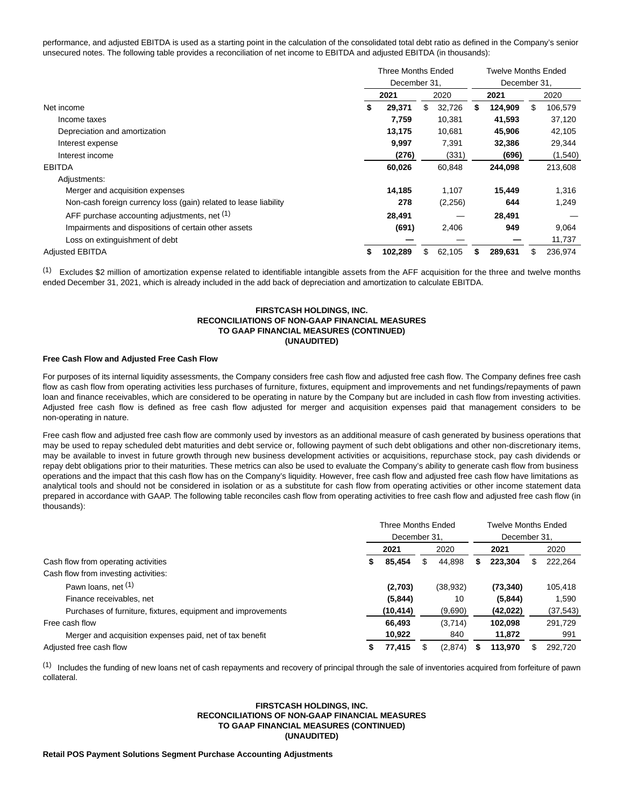performance, and adjusted EBITDA is used as a starting point in the calculation of the consolidated total debt ratio as defined in the Company's senior unsecured notes. The following table provides a reconciliation of net income to EBITDA and adjusted EBITDA (in thousands):

|                                                                  | Three Months Ended<br>December 31. |         |    |         |   | <b>Twelve Months Ended</b> |      |         |  |  |
|------------------------------------------------------------------|------------------------------------|---------|----|---------|---|----------------------------|------|---------|--|--|
|                                                                  |                                    |         |    |         |   | December 31.               |      |         |  |  |
|                                                                  | 2021                               |         |    | 2020    |   | 2021                       | 2020 |         |  |  |
| Net income                                                       |                                    | 29,371  | \$ | 32,726  | S | 124.909                    | \$   | 106,579 |  |  |
| Income taxes                                                     |                                    | 7,759   |    | 10,381  |   | 41,593                     |      | 37,120  |  |  |
| Depreciation and amortization                                    |                                    | 13,175  |    | 10,681  |   | 45,906                     |      | 42,105  |  |  |
| Interest expense                                                 |                                    | 9.997   |    | 7,391   |   | 32,386                     |      | 29,344  |  |  |
| Interest income                                                  |                                    | (276)   |    | (331)   |   | (696)                      |      | (1,540) |  |  |
| <b>EBITDA</b>                                                    |                                    | 60,026  |    | 60,848  |   | 244,098                    |      | 213,608 |  |  |
| Adjustments:                                                     |                                    |         |    |         |   |                            |      |         |  |  |
| Merger and acquisition expenses                                  |                                    | 14,185  |    | 1,107   |   | 15,449                     |      | 1,316   |  |  |
| Non-cash foreign currency loss (gain) related to lease liability |                                    | 278     |    | (2,256) |   | 644                        |      | 1,249   |  |  |
| AFF purchase accounting adjustments, net (1)                     |                                    | 28.491  |    |         |   | 28.491                     |      |         |  |  |
| Impairments and dispositions of certain other assets             |                                    | (691)   |    | 2,406   |   | 949                        |      | 9,064   |  |  |
| Loss on extinguishment of debt                                   |                                    |         |    |         |   |                            |      | 11.737  |  |  |
| <b>Adjusted EBITDA</b>                                           | \$                                 | 102,289 | \$ | 62,105  |   | 289,631                    |      | 236,974 |  |  |

 $<sup>(1)</sup>$  Excludes \$2 million of amortization expense related to identifiable intangible assets from the AFF acquisition for the three and twelve months</sup> ended December 31, 2021, which is already included in the add back of depreciation and amortization to calculate EBITDA.

# **FIRSTCASH HOLDINGS, INC. RECONCILIATIONS OF NON-GAAP FINANCIAL MEASURES TO GAAP FINANCIAL MEASURES (CONTINUED) (UNAUDITED)**

### **Free Cash Flow and Adjusted Free Cash Flow**

For purposes of its internal liquidity assessments, the Company considers free cash flow and adjusted free cash flow. The Company defines free cash flow as cash flow from operating activities less purchases of furniture, fixtures, equipment and improvements and net fundings/repayments of pawn loan and finance receivables, which are considered to be operating in nature by the Company but are included in cash flow from investing activities. Adjusted free cash flow is defined as free cash flow adjusted for merger and acquisition expenses paid that management considers to be non-operating in nature.

Free cash flow and adjusted free cash flow are commonly used by investors as an additional measure of cash generated by business operations that may be used to repay scheduled debt maturities and debt service or, following payment of such debt obligations and other non-discretionary items, may be available to invest in future growth through new business development activities or acquisitions, repurchase stock, pay cash dividends or repay debt obligations prior to their maturities. These metrics can also be used to evaluate the Company's ability to generate cash flow from business operations and the impact that this cash flow has on the Company's liquidity. However, free cash flow and adjusted free cash flow have limitations as analytical tools and should not be considered in isolation or as a substitute for cash flow from operating activities or other income statement data prepared in accordance with GAAP. The following table reconciles cash flow from operating activities to free cash flow and adjusted free cash flow (in thousands):

|                                                              | Three Months Ended |          |      |          |              | <b>Twelve Months Ended</b> |  |           |  |  |  |
|--------------------------------------------------------------|--------------------|----------|------|----------|--------------|----------------------------|--|-----------|--|--|--|
|                                                              | December 31.       |          |      |          | December 31. |                            |  |           |  |  |  |
|                                                              | 2021               |          | 2020 |          |              | 2021                       |  | 2020      |  |  |  |
| Cash flow from operating activities                          |                    | 85,454   | S    | 44,898   | S            | 223.304                    |  | 222,264   |  |  |  |
| Cash flow from investing activities:                         |                    |          |      |          |              |                            |  |           |  |  |  |
| Pawn loans, net (1)                                          |                    | (2,703)  |      | (38,932) |              | (73, 340)                  |  | 105,418   |  |  |  |
| Finance receivables, net                                     |                    | (5,844)  |      | 10       |              | (5,844)                    |  | 1,590     |  |  |  |
| Purchases of furniture, fixtures, equipment and improvements |                    | (10,414) |      | (9,690)  |              | (42, 022)                  |  | (37, 543) |  |  |  |
| Free cash flow                                               |                    | 66,493   |      | (3,714)  |              | 102.098                    |  | 291,729   |  |  |  |
| Merger and acquisition expenses paid, net of tax benefit     |                    | 10,922   |      | 840      |              | 11,872                     |  | 991       |  |  |  |
| Adjusted free cash flow                                      |                    | 77.415   |      | (2,874)  |              | 113.970                    |  | 292.720   |  |  |  |

 $<sup>(1)</sup>$  Includes the funding of new loans net of cash repayments and recovery of principal through the sale of inventories acquired from forfeiture of pawn</sup> collateral.

# **FIRSTCASH HOLDINGS, INC. RECONCILIATIONS OF NON-GAAP FINANCIAL MEASURES TO GAAP FINANCIAL MEASURES (CONTINUED) (UNAUDITED)**

### **Retail POS Payment Solutions Segment Purchase Accounting Adjustments**